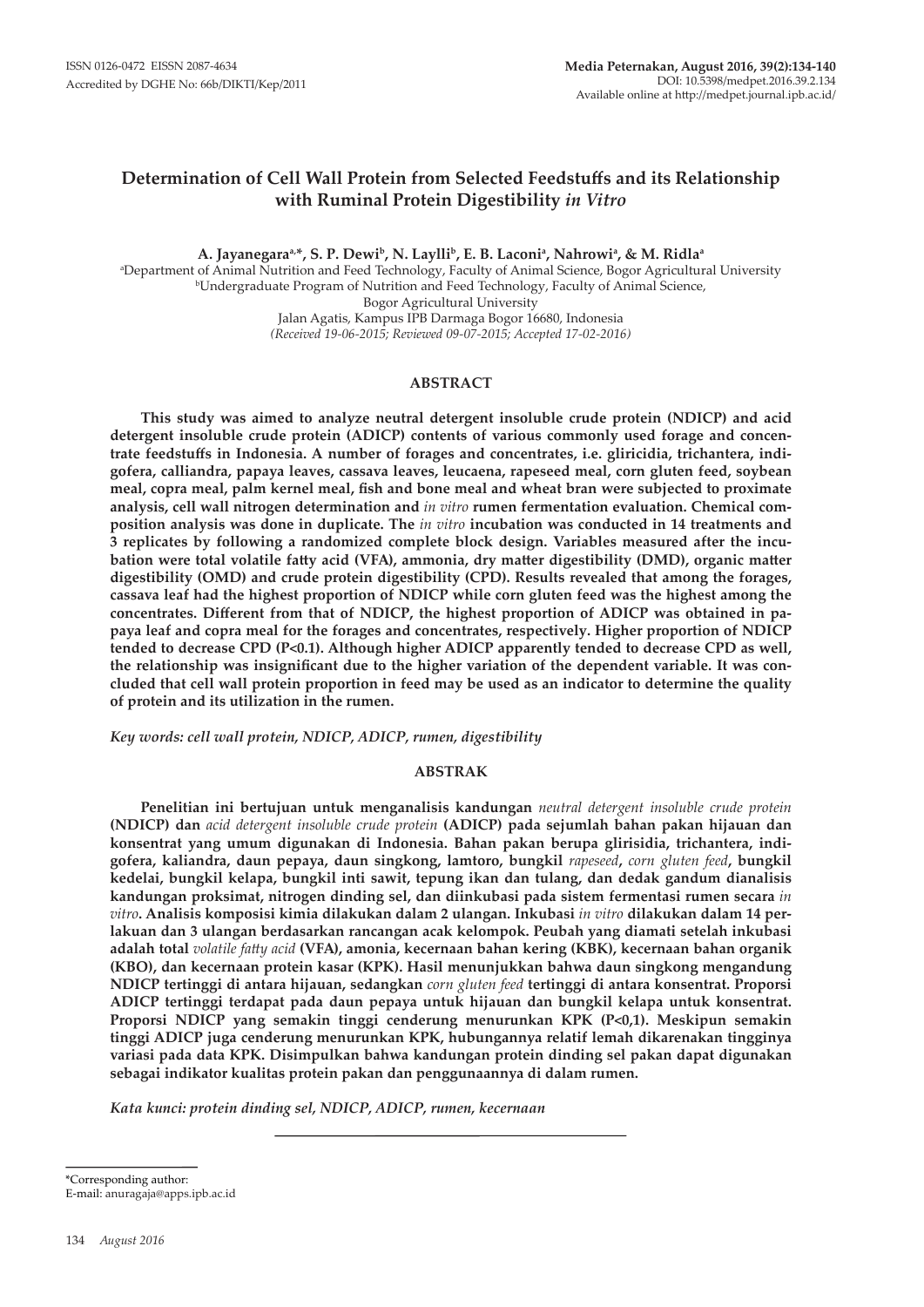# **Determination of Cell Wall Protein from Selected Feedstuffs and its Relationship with Ruminal Protein Digestibility** *in Vitro*

**A. Jayanegaraa,\*, S. P. Dewib, N. Layllib, E. B. Laconia , Nahrowi<sup>a</sup> , & M. Ridla<sup>a</sup>**

a Department of Animal Nutrition and Feed Technology, Faculty of Animal Science, Bogor Agricultural University <sup>b</sup>Undergraduate Program of Nutrition and Feed Technology, Faculty of Animal Science, Bogor Agricultural University Jalan Agatis, Kampus IPB Darmaga Bogor 16680, Indonesia *(Received 19-06-2015; Reviewed 09-07-2015; Accepted 17-02-2016)*

## **ABSTRACT**

**This study was aimed to analyze neutral detergent insoluble crude protein (NDICP) and acid detergent insoluble crude protein (ADICP) contents of various commonly used forage and concentrate feedstuffs in Indonesia. A number of forages and concentrates, i.e. gliricidia, trichantera, indigofera, calliandra, papaya leaves, cassava leaves, leucaena, rapeseed meal, corn gluten feed, soybean meal, copra meal, palm kernel meal, fish and bone meal and wheat bran were subjected to proximate analysis, cell wall nitrogen determination and** *in vitro* **rumen fermentation evaluation. Chemical composition analysis was done in duplicate. The** *in vitro* **incubation was conducted in 14 treatments and 3 replicates by following a randomized complete block design. Variables measured after the incubation were total volatile fatty acid (VFA), ammonia, dry matter digestibility (DMD), organic matter digestibility (OMD) and crude protein digestibility (CPD). Results revealed that among the forages, cassava leaf had the highest proportion of NDICP while corn gluten feed was the highest among the concentrates. Different from that of NDICP, the highest proportion of ADICP was obtained in papaya leaf and copra meal for the forages and concentrates, respectively. Higher proportion of NDICP tended to decrease CPD (P<0.1). Although higher ADICP apparently tended to decrease CPD as well, the relationship was insignificant due to the higher variation of the dependent variable. It was concluded that cell wall protein proportion in feed may be used as an indicator to determine the quality of protein and its utilization in the rumen.** 

*Key words: cell wall protein, NDICP, ADICP, rumen, digestibility*

## **ABSTRAK**

**Penelitian ini bertujuan untuk menganalisis kandungan** *neutral detergent insoluble crude protein* **(NDICP) dan** *acid detergent insoluble crude protein* **(ADICP) pada sejumlah bahan pakan hijauan dan konsentrat yang umum digunakan di Indonesia. Bahan pakan berupa glirisidia, trichantera, indigofera, kaliandra, daun pepaya, daun singkong, lamtoro, bungkil** *rapeseed***,** *corn gluten feed***, bungkil kedelai, bungkil kelapa, bungkil inti sawit, tepung ikan dan tulang, dan dedak gandum dianalisis kandungan proksimat, nitrogen dinding sel, dan diinkubasi pada sistem fermentasi rumen secara** *in vitro***. Analisis komposisi kimia dilakukan dalam 2 ulangan. Inkubasi** *in vitro* **dilakukan dalam 14 perlakuan dan 3 ulangan berdasarkan rancangan acak kelompok. Peubah yang diamati setelah inkubasi adalah total** *volatile fatty acid* **(VFA), amonia, kecernaan bahan kering (KBK), kecernaan bahan organik (KBO), dan kecernaan protein kasar (KPK). Hasil menunjukkan bahwa daun singkong mengandung NDICP tertinggi di antara hijauan, sedangkan** *corn gluten feed* **tertinggi di antara konsentrat. Proporsi ADICP tertinggi terdapat pada daun pepaya untuk hijauan dan bungkil kelapa untuk konsentrat. Proporsi NDICP yang semakin tinggi cenderung menurunkan KPK (P<0,1). Meskipun semakin tinggi ADICP juga cenderung menurunkan KPK, hubungannya relatif lemah dikarenakan tingginya variasi pada data KPK. Disimpulkan bahwa kandungan protein dinding sel pakan dapat digunakan sebagai indikator kualitas protein pakan dan penggunaannya di dalam rumen.** 

*Kata kunci: protein dinding sel, NDICP, ADICP, rumen, kecernaan*

\*Corresponding author:

E-mail: anuragaja@apps.ipb.ac.id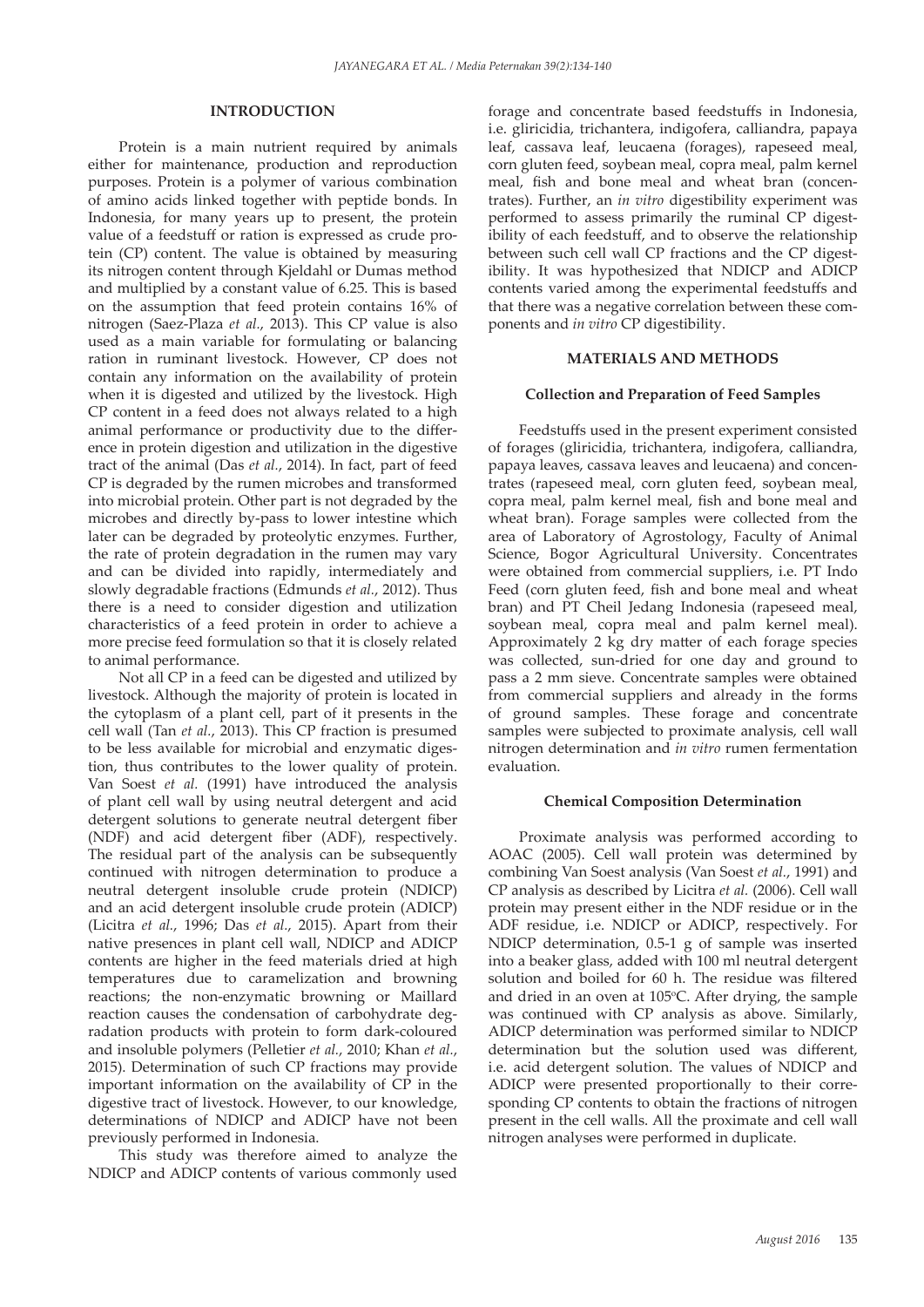## **INTRODUCTION**

Protein is a main nutrient required by animals either for maintenance, production and reproduction purposes. Protein is a polymer of various combination of amino acids linked together with peptide bonds. In Indonesia, for many years up to present, the protein value of a feedstuff or ration is expressed as crude protein (CP) content. The value is obtained by measuring its nitrogen content through Kjeldahl or Dumas method and multiplied by a constant value of 6.25. This is based on the assumption that feed protein contains 16% of nitrogen (Saez-Plaza *et al.*, 2013). This CP value is also used as a main variable for formulating or balancing ration in ruminant livestock. However, CP does not contain any information on the availability of protein when it is digested and utilized by the livestock. High CP content in a feed does not always related to a high animal performance or productivity due to the difference in protein digestion and utilization in the digestive tract of the animal (Das *et al.*, 2014). In fact, part of feed CP is degraded by the rumen microbes and transformed into microbial protein. Other part is not degraded by the microbes and directly by-pass to lower intestine which later can be degraded by proteolytic enzymes. Further, the rate of protein degradation in the rumen may vary and can be divided into rapidly, intermediately and slowly degradable fractions (Edmunds *et al.*, 2012). Thus there is a need to consider digestion and utilization characteristics of a feed protein in order to achieve a more precise feed formulation so that it is closely related to animal performance.

Not all CP in a feed can be digested and utilized by livestock. Although the majority of protein is located in the cytoplasm of a plant cell, part of it presents in the cell wall (Tan *et al.*, 2013). This CP fraction is presumed to be less available for microbial and enzymatic digestion, thus contributes to the lower quality of protein. Van Soest *et al.* (1991) have introduced the analysis of plant cell wall by using neutral detergent and acid detergent solutions to generate neutral detergent fiber (NDF) and acid detergent fiber (ADF), respectively. The residual part of the analysis can be subsequently continued with nitrogen determination to produce a neutral detergent insoluble crude protein (NDICP) and an acid detergent insoluble crude protein (ADICP) (Licitra *et al.*, 1996; Das *et al.*, 2015). Apart from their native presences in plant cell wall, NDICP and ADICP contents are higher in the feed materials dried at high temperatures due to caramelization and browning reactions; the non-enzymatic browning or Maillard reaction causes the condensation of carbohydrate degradation products with protein to form dark-coloured and insoluble polymers (Pelletier *et al.*, 2010; Khan *et al.*, 2015). Determination of such CP fractions may provide important information on the availability of CP in the digestive tract of livestock. However, to our knowledge, determinations of NDICP and ADICP have not been previously performed in Indonesia.

This study was therefore aimed to analyze the NDICP and ADICP contents of various commonly used forage and concentrate based feedstuffs in Indonesia, i.e. gliricidia, trichantera, indigofera, calliandra, papaya leaf, cassava leaf, leucaena (forages), rapeseed meal, corn gluten feed, soybean meal, copra meal, palm kernel meal, fish and bone meal and wheat bran (concentrates). Further, an *in vitro* digestibility experiment was performed to assess primarily the ruminal CP digestibility of each feedstuff, and to observe the relationship between such cell wall CP fractions and the CP digestibility. It was hypothesized that NDICP and ADICP contents varied among the experimental feedstuffs and that there was a negative correlation between these components and *in vitro* CP digestibility.

#### **MATERIALS AND METHODS**

#### **Collection and Preparation of Feed Samples**

Feedstuffs used in the present experiment consisted of forages (gliricidia, trichantera, indigofera, calliandra, papaya leaves, cassava leaves and leucaena) and concentrates (rapeseed meal, corn gluten feed, soybean meal, copra meal, palm kernel meal, fish and bone meal and wheat bran). Forage samples were collected from the area of Laboratory of Agrostology, Faculty of Animal Science, Bogor Agricultural University. Concentrates were obtained from commercial suppliers, i.e. PT Indo Feed (corn gluten feed, fish and bone meal and wheat bran) and PT Cheil Jedang Indonesia (rapeseed meal, soybean meal, copra meal and palm kernel meal). Approximately 2 kg dry matter of each forage species was collected, sun-dried for one day and ground to pass a 2 mm sieve. Concentrate samples were obtained from commercial suppliers and already in the forms of ground samples. These forage and concentrate samples were subjected to proximate analysis, cell wall nitrogen determination and *in vitro* rumen fermentation evaluation.

#### **Chemical Composition Determination**

Proximate analysis was performed according to AOAC (2005). Cell wall protein was determined by combining Van Soest analysis (Van Soest *et al.*, 1991) and CP analysis as described by Licitra *et al.* (2006). Cell wall protein may present either in the NDF residue or in the ADF residue, i.e. NDICP or ADICP, respectively. For NDICP determination, 0.5-1 g of sample was inserted into a beaker glass, added with 100 ml neutral detergent solution and boiled for 60 h. The residue was filtered and dried in an oven at 105°C. After drying, the sample was continued with CP analysis as above. Similarly, ADICP determination was performed similar to NDICP determination but the solution used was different, i.e. acid detergent solution. The values of NDICP and ADICP were presented proportionally to their corresponding CP contents to obtain the fractions of nitrogen present in the cell walls. All the proximate and cell wall nitrogen analyses were performed in duplicate.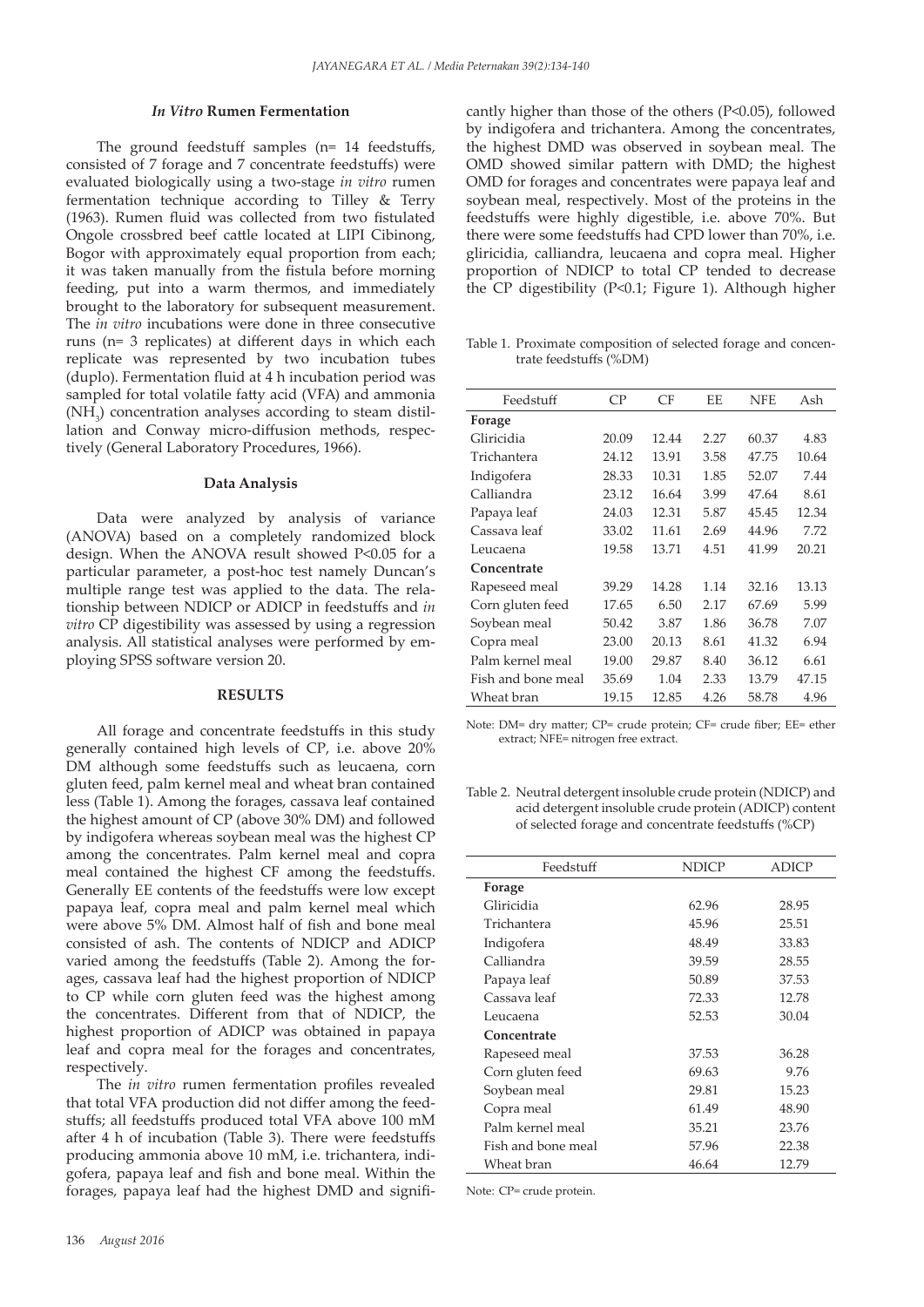#### *In Vitro* **Rumen Fermentation**

The ground feedstuff samples (n= 14 feedstuffs, consisted of 7 forage and 7 concentrate feedstuffs) were evaluated biologically using a two-stage *in vitro* rumen fermentation technique according to Tilley & Terry (1963). Rumen fluid was collected from two fistulated Ongole crossbred beef cattle located at LIPI Cibinong, Bogor with approximately equal proportion from each; it was taken manually from the fistula before morning feeding, put into a warm thermos, and immediately brought to the laboratory for subsequent measurement. The *in vitro* incubations were done in three consecutive runs (n= 3 replicates) at different days in which each replicate was represented by two incubation tubes (duplo). Fermentation fluid at 4 h incubation period was sampled for total volatile fatty acid (VFA) and ammonia  $(NH<sub>3</sub>)$  concentration analyses according to steam distillation and Conway micro-diffusion methods, respectively (General Laboratory Procedures, 1966).

#### **Data Analysis**

Data were analyzed by analysis of variance (ANOVA) based on a completely randomized block design. When the ANOVA result showed P<0.05 for a particular parameter, a post-hoc test namely Duncan's multiple range test was applied to the data. The relationship between NDICP or ADICP in feedstuffs and *in vitro* CP digestibility was assessed by using a regression analysis. All statistical analyses were performed by employing SPSS software version 20.

#### **RESULTS**

All forage and concentrate feedstuffs in this study generally contained high levels of CP, i.e. above 20% DM although some feedstuffs such as leucaena, corn gluten feed, palm kernel meal and wheat bran contained less (Table 1). Among the forages, cassava leaf contained the highest amount of CP (above 30% DM) and followed by indigofera whereas soybean meal was the highest CP among the concentrates. Palm kernel meal and copra meal contained the highest CF among the feedstuffs. Generally EE contents of the feedstuffs were low except papaya leaf, copra meal and palm kernel meal which were above 5% DM. Almost half of fish and bone meal consisted of ash. The contents of NDICP and ADICP varied among the feedstuffs (Table 2). Among the forages, cassava leaf had the highest proportion of NDICP to CP while corn gluten feed was the highest among the concentrates. Different from that of NDICP, the highest proportion of ADICP was obtained in papaya leaf and copra meal for the forages and concentrates, respectively.

The *in vitro* rumen fermentation profiles revealed that total VFA production did not differ among the feedstuffs; all feedstuffs produced total VFA above 100 mM after 4 h of incubation (Table 3). There were feedstuffs producing ammonia above 10 mM, i.e. trichantera, indigofera, papaya leaf and fish and bone meal. Within the forages, papaya leaf had the highest DMD and significantly higher than those of the others (P<0.05), followed by indigofera and trichantera. Among the concentrates, the highest DMD was observed in soybean meal. The OMD showed similar pattern with DMD; the highest OMD for forages and concentrates were papaya leaf and soybean meal, respectively. Most of the proteins in the feedstuffs were highly digestible, i.e. above 70%. But there were some feedstuffs had CPD lower than 70%, i.e. gliricidia, calliandra, leucaena and copra meal. Higher proportion of NDICP to total CP tended to decrease the CP digestibility (P<0.1; Figure 1). Although higher

Table 1. Proximate composition of selected forage and concentrate feedstuffs (%DM)

| Feedstuff          | CP.   | CF    | EЕ   | NFE   | Ash   |
|--------------------|-------|-------|------|-------|-------|
| Forage             |       |       |      |       |       |
| Gliricidia         | 20.09 | 12.44 | 2.27 | 60.37 | 4.83  |
| Trichantera        | 24.12 | 13.91 | 3.58 | 47.75 | 10.64 |
| Indigofera         | 28.33 | 10.31 | 1.85 | 52.07 | 7.44  |
| Calliandra         | 23.12 | 16.64 | 3.99 | 47.64 | 8.61  |
| Papaya leaf        | 24.03 | 12.31 | 5.87 | 45.45 | 12.34 |
| Cassava leaf       | 33.02 | 11.61 | 2.69 | 44.96 | 7.72  |
| Leucaena           | 19.58 | 13.71 | 4.51 | 41.99 | 20.21 |
| Concentrate        |       |       |      |       |       |
| Rapeseed meal      | 39.29 | 14.28 | 1.14 | 32.16 | 13.13 |
| Corn gluten feed   | 17.65 | 6.50  | 2.17 | 67.69 | 5.99  |
| Soybean meal       | 50.42 | 3.87  | 1.86 | 36.78 | 7.07  |
| Copra meal         | 23.00 | 20.13 | 8.61 | 41.32 | 6.94  |
| Palm kernel meal   | 19.00 | 29.87 | 8.40 | 36.12 | 6.61  |
| Fish and bone meal | 35.69 | 1.04  | 2.33 | 13.79 | 47.15 |
| Wheat bran         | 19.15 | 12.85 | 4.26 | 58.78 | 4.96  |

Note: DM= dry matter; CP= crude protein; CF= crude fiber; EE= ether extract; NFE= nitrogen free extract.

Table 2. Neutral detergent insoluble crude protein (NDICP) and acid detergent insoluble crude protein (ADICP) content of selected forage and concentrate feedstuffs (%CP)

| Feedstuff          | <b>NDICP</b> | <b>ADICP</b> |
|--------------------|--------------|--------------|
| Forage             |              |              |
| Gliricidia         | 62.96        | 28.95        |
| Trichantera        | 45.96        | 25.51        |
| Indigofera         | 48.49        | 33.83        |
| Calliandra         | 39.59        | 28.55        |
| Papaya leaf        | 50.89        | 37.53        |
| Cassava leaf       | 72.33        | 12.78        |
| Leucaena           | 52.53        | 30.04        |
| Concentrate        |              |              |
| Rapeseed meal      | 37.53        | 36.28        |
| Corn gluten feed   | 69.63        | 9.76         |
| Soybean meal       | 29.81        | 15.23        |
| Copra meal         | 61.49        | 48.90        |
| Palm kernel meal   | 35.21        | 23.76        |
| Fish and bone meal | 57.96        | 22.38        |
| Wheat bran         | 46.64        | 12.79        |

Note: CP= crude protein.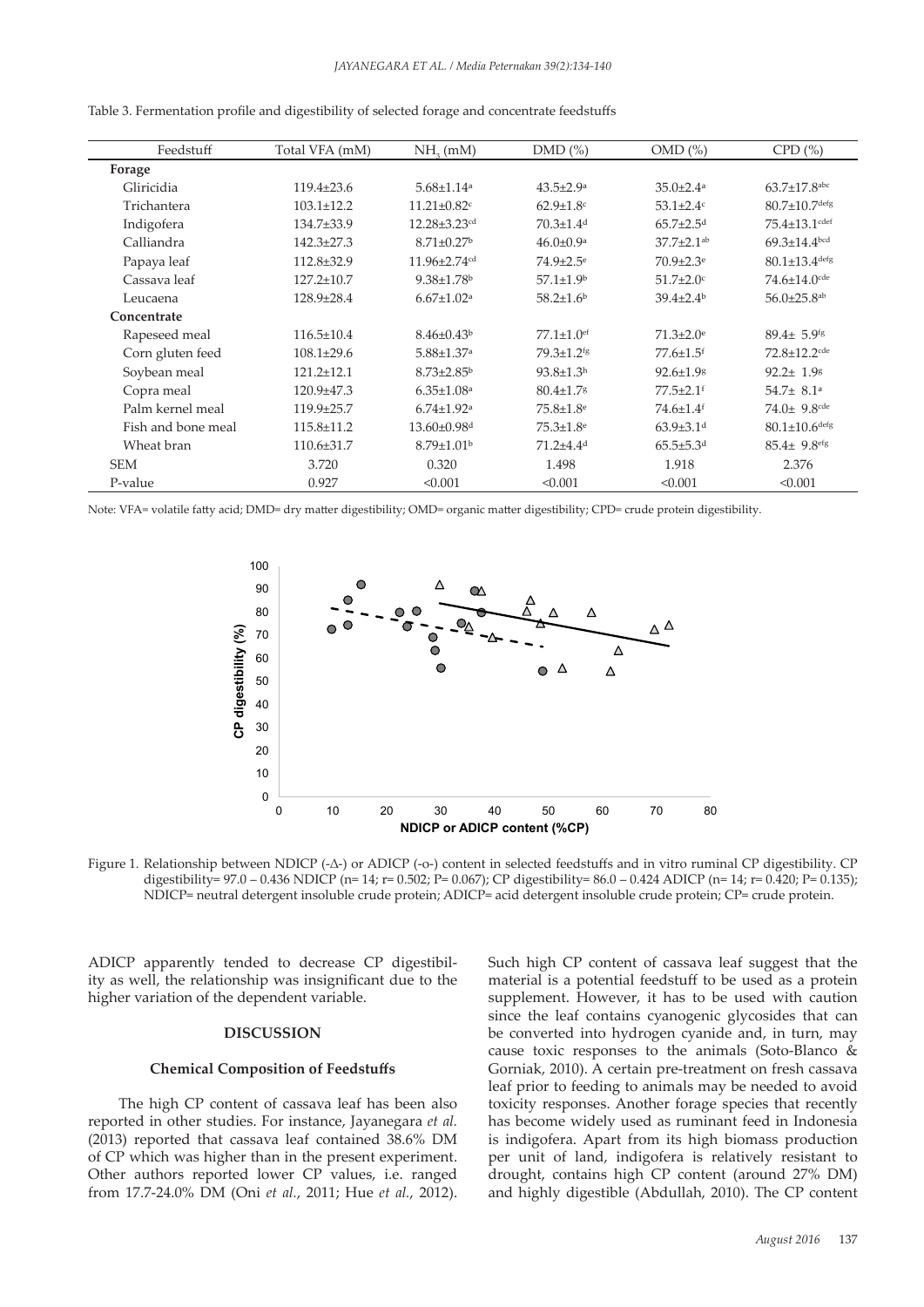| Feedstuff          | Total VFA (mM)   | $NH2$ (mM)                    | $DMD$ $(\%)$                 | $OMD$ $(\%)$                 | CPD(%)                          |
|--------------------|------------------|-------------------------------|------------------------------|------------------------------|---------------------------------|
| Forage             |                  |                               |                              |                              |                                 |
| Gliricidia         | $119.4 \pm 23.6$ | $5.68 \pm 1.14$ <sup>a</sup>  | $43.5 \pm 2.9^{\rm a}$       | $35.0 \pm 2.4$ <sup>a</sup>  | $63.7 \pm 17.8$ <sup>abc</sup>  |
| Trichantera        | $103.1 \pm 12.2$ | $11.21 \pm 0.82$ c            | $62.9 \pm 1.8$ c             | $53.1 \pm 2.4$ c             | $80.7 \pm 10.7$ defg            |
| Indigofera         | 134.7±33.9       | 12.28±3.23 <sup>cd</sup>      | $70.3 \pm 1.4$ <sup>d</sup>  | $65.7 \pm 2.5$ <sup>d</sup>  | 75.4±13.1 <sup>cdef</sup>       |
| Calliandra         | $142.3 \pm 27.3$ | $8.71 \pm 0.27$ <sup>b</sup>  | $46.0 \pm 0.9$ <sup>a</sup>  | $37.7 \pm 2.1$ <sup>ab</sup> | $69.3 \pm 14.4$ <sup>bcd</sup>  |
| Papaya leaf        | 112.8±32.9       | 11.96±2.74 <sup>cd</sup>      | $74.9 \pm 2.5$ <sup>e</sup>  | $70.9 \pm 2.3$ <sup>e</sup>  | $80.1 \pm 13.4$ <sup>defg</sup> |
| Cassava leaf       | $127.2 \pm 10.7$ | $9.38 \pm 1.78$ <sup>b</sup>  | $57.1 \pm 1.9^{\rm b}$       | $51.7 \pm 2.0$ c             | $74.6 \pm 14.0$ cde             |
| Leucaena           | $128.9 \pm 28.4$ | $6.67 \pm 1.02$ <sup>a</sup>  | $58.2{\pm}1.6^{\rm b}$       | $39.4{\pm}2.4^{\rm b}$       | $56.0 \pm 25.8$ <sup>ab</sup>   |
| Concentrate        |                  |                               |                              |                              |                                 |
| Rapeseed meal      | $116.5 \pm 10.4$ | $8.46 \pm 0.43^b$             | $77.1 \pm 1.0$ <sup>ef</sup> | $71.3 \pm 2.0$ <sup>e</sup>  | $89.4 \pm 5.9$ <sup>fg</sup>    |
| Corn gluten feed   | $108.1 \pm 29.6$ | $5.88 \pm 1.37$ <sup>a</sup>  | 79.3±1.2 <sup>fg</sup>       | $77.6 \pm 1.5$ <sup>f</sup>  | 72.8±12.2 <sup>cde</sup>        |
| Soybean meal       | $121.2 \pm 12.1$ | $8.73 \pm 2.85$ <sup>b</sup>  | $93.8 \pm 1.3$ <sup>h</sup>  | $92.6 \pm 1.98$              | $92.2 \pm 1.98$                 |
| Copra meal         | $120.9 + 47.3$   | $6.35 \pm 1.08$ <sup>a</sup>  | $80.4 \pm 1.7$ <sup>8</sup>  | $77.5 \pm 2.1$ <sup>f</sup>  | 54.7 $\pm$ 8.1 <sup>a</sup>     |
| Palm kernel meal   | $119.9 \pm 25.7$ | $6.74 \pm 1.92$ <sup>a</sup>  | $75.8 \pm 1.8$ <sup>e</sup>  | 74.6±1.4f                    | $74.0 \pm 9.8$ <sup>cde</sup>   |
| Fish and bone meal | $115.8 \pm 11.2$ | $13.60 \pm 0.98$ <sup>d</sup> | $75.3 \pm 1.8$ <sup>e</sup>  | $63.9{\pm}3.1$ <sup>d</sup>  | $80.1 \pm 10.6$ defg            |
| Wheat bran         | $110.6 \pm 31.7$ | $8.79 \pm 1.01$ <sup>b</sup>  | $71.2 + 4.4d$                | $65.5 \pm 5.3$ <sup>d</sup>  | $85.4 \pm 9.8$ <sup>efg</sup>   |
| <b>SEM</b>         | 3.720            | 0.320                         | 1.498                        | 1.918                        | 2.376                           |
| P-value            | 0.927            | < 0.001                       | < 0.001                      | < 0.001                      | < 0.001                         |

Table 3. Fermentation profile and digestibility of selected forage and concentrate feedstuffs

Note: VFA= volatile fatty acid; DMD= dry matter digestibility; OMD= organic matter digestibility; CPD= crude protein digestibility.



Figure 1. Relationship between NDICP (-∆-) or ADICP (-o-) content in selected feedstuffs and in vitro ruminal CP digestibility. CP 1 **NDICP ADICP** digestibility= 97.0 – 0.436 NDICP (n= 14; r= 0.502; P= 0.067); CP digestibility= 86.0 – 0.424 ADICP (n= 14; r= 0.420; P= 0.135); 2 NDICP= neutral detergent insoluble crude protein; ADICP= acid detergent insoluble crude protein; CP= crude protein.

ADICP apparently tended to decrease CP digestibil-<br>Such high CP content of cassava ity as well, the relationship was insignificant due to the higher variation of the dependent variable.

## **DISCUSSION**

### **Chemical Composition of Feedstuffs**

The high CP content of cassava leaf has been also reported in other studies. For instance, Jayanegara *et al.* (2013) reported that cassava leaf contained 38.6% DM of CP which was higher than in the present experiment. Other authors reported lower CP values, i.e. ranged from 17.7-24.0% DM (Oni *et al.*, 2011; Hue *et al.*, 2012). Such high CP content of cassava leaf suggest that the material is a potential feedstuff to be used as a protein supplement. However, it has to be used with caution since the leaf contains cyanogenic glycosides that can be converted into hydrogen cyanide and, in turn, may cause toxic responses to the animals (Soto-Blanco & Gorniak, 2010). A certain pre-treatment on fresh cassava leaf prior to feeding to animals may be needed to avoid toxicity responses. Another forage species that recently has become widely used as ruminant feed in Indonesia is indigofera. Apart from its high biomass production per unit of land, indigofera is relatively resistant to drought, contains high CP content (around 27% DM) and highly digestible (Abdullah, 2010). The CP content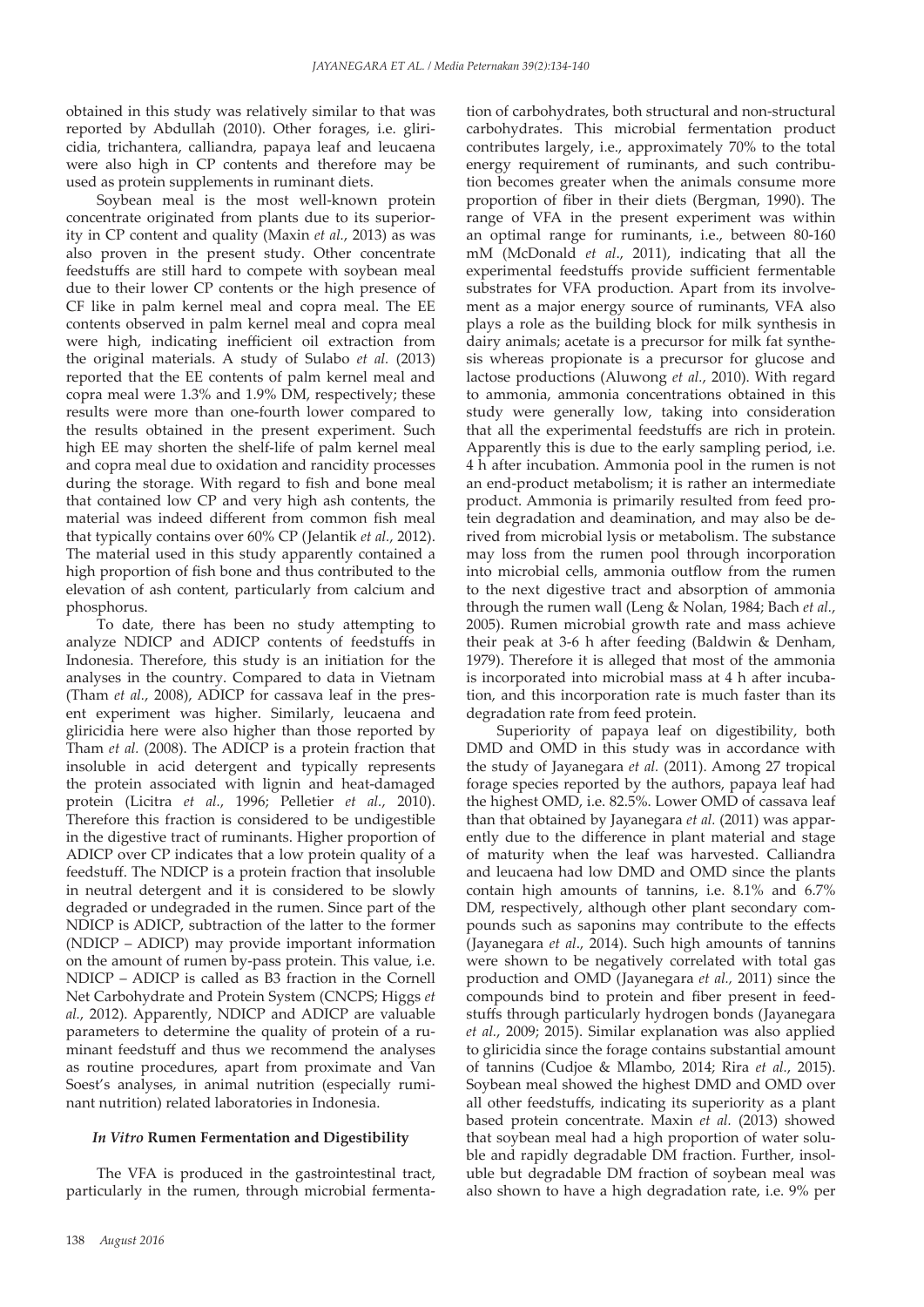obtained in this study was relatively similar to that was reported by Abdullah (2010). Other forages, i.e. gliricidia, trichantera, calliandra, papaya leaf and leucaena were also high in CP contents and therefore may be used as protein supplements in ruminant diets.

Soybean meal is the most well-known protein concentrate originated from plants due to its superiority in CP content and quality (Maxin *et al.*, 2013) as was also proven in the present study. Other concentrate feedstuffs are still hard to compete with soybean meal due to their lower CP contents or the high presence of CF like in palm kernel meal and copra meal. The EE contents observed in palm kernel meal and copra meal were high, indicating inefficient oil extraction from the original materials. A study of Sulabo *et al.* (2013) reported that the EE contents of palm kernel meal and copra meal were 1.3% and 1.9% DM, respectively; these results were more than one-fourth lower compared to the results obtained in the present experiment. Such high EE may shorten the shelf-life of palm kernel meal and copra meal due to oxidation and rancidity processes during the storage. With regard to fish and bone meal that contained low CP and very high ash contents, the material was indeed different from common fish meal that typically contains over 60% CP (Jelantik *et al.*, 2012). The material used in this study apparently contained a high proportion of fish bone and thus contributed to the elevation of ash content, particularly from calcium and phosphorus.

To date, there has been no study attempting to analyze NDICP and ADICP contents of feedstuffs in Indonesia. Therefore, this study is an initiation for the analyses in the country. Compared to data in Vietnam (Tham *et al.*, 2008), ADICP for cassava leaf in the present experiment was higher. Similarly, leucaena and gliricidia here were also higher than those reported by Tham *et al.* (2008). The ADICP is a protein fraction that insoluble in acid detergent and typically represents the protein associated with lignin and heat-damaged protein (Licitra *et al.*, 1996; Pelletier *et al.*, 2010). Therefore this fraction is considered to be undigestible in the digestive tract of ruminants. Higher proportion of ADICP over CP indicates that a low protein quality of a feedstuff. The NDICP is a protein fraction that insoluble in neutral detergent and it is considered to be slowly degraded or undegraded in the rumen. Since part of the NDICP is ADICP, subtraction of the latter to the former (NDICP – ADICP) may provide important information on the amount of rumen by-pass protein. This value, i.e. NDICP – ADICP is called as B3 fraction in the Cornell Net Carbohydrate and Protein System (CNCPS; Higgs *et al.*, 2012). Apparently, NDICP and ADICP are valuable parameters to determine the quality of protein of a ruminant feedstuff and thus we recommend the analyses as routine procedures, apart from proximate and Van Soest's analyses, in animal nutrition (especially ruminant nutrition) related laboratories in Indonesia.

## *In Vitro* **Rumen Fermentation and Digestibility**

The VFA is produced in the gastrointestinal tract, particularly in the rumen, through microbial fermenta-

tion of carbohydrates, both structural and non-structural carbohydrates. This microbial fermentation product contributes largely, i.e., approximately 70% to the total energy requirement of ruminants, and such contribution becomes greater when the animals consume more proportion of fiber in their diets (Bergman, 1990). The range of VFA in the present experiment was within an optimal range for ruminants, i.e., between 80-160 mM (McDonald *et al*., 2011), indicating that all the experimental feedstuffs provide sufficient fermentable substrates for VFA production. Apart from its involvement as a major energy source of ruminants, VFA also plays a role as the building block for milk synthesis in dairy animals; acetate is a precursor for milk fat synthesis whereas propionate is a precursor for glucose and lactose productions (Aluwong *et al.*, 2010). With regard to ammonia, ammonia concentrations obtained in this study were generally low, taking into consideration that all the experimental feedstuffs are rich in protein. Apparently this is due to the early sampling period, i.e. 4 h after incubation. Ammonia pool in the rumen is not an end-product metabolism; it is rather an intermediate product. Ammonia is primarily resulted from feed protein degradation and deamination, and may also be derived from microbial lysis or metabolism. The substance may loss from the rumen pool through incorporation into microbial cells, ammonia outflow from the rumen to the next digestive tract and absorption of ammonia through the rumen wall (Leng & Nolan, 1984; Bach *et al.*, 2005). Rumen microbial growth rate and mass achieve their peak at 3-6 h after feeding (Baldwin & Denham, 1979). Therefore it is alleged that most of the ammonia is incorporated into microbial mass at 4 h after incubation, and this incorporation rate is much faster than its degradation rate from feed protein.

Superiority of papaya leaf on digestibility, both DMD and OMD in this study was in accordance with the study of Jayanegara *et al.* (2011). Among 27 tropical forage species reported by the authors, papaya leaf had the highest OMD, i.e. 82.5%. Lower OMD of cassava leaf than that obtained by Jayanegara *et al.* (2011) was apparently due to the difference in plant material and stage of maturity when the leaf was harvested. Calliandra and leucaena had low DMD and OMD since the plants contain high amounts of tannins, i.e. 8.1% and 6.7% DM, respectively, although other plant secondary compounds such as saponins may contribute to the effects (Jayanegara *et al*., 2014). Such high amounts of tannins were shown to be negatively correlated with total gas production and OMD (Jayanegara *et al.,* 2011) since the compounds bind to protein and fiber present in feedstuffs through particularly hydrogen bonds (Jayanegara *et al.*, 2009; 2015). Similar explanation was also applied to gliricidia since the forage contains substantial amount of tannins (Cudjoe & Mlambo, 2014; Rira *et al.*, 2015). Soybean meal showed the highest DMD and OMD over all other feedstuffs, indicating its superiority as a plant based protein concentrate. Maxin *et al.* (2013) showed that soybean meal had a high proportion of water soluble and rapidly degradable DM fraction. Further, insoluble but degradable DM fraction of soybean meal was also shown to have a high degradation rate, i.e. 9% per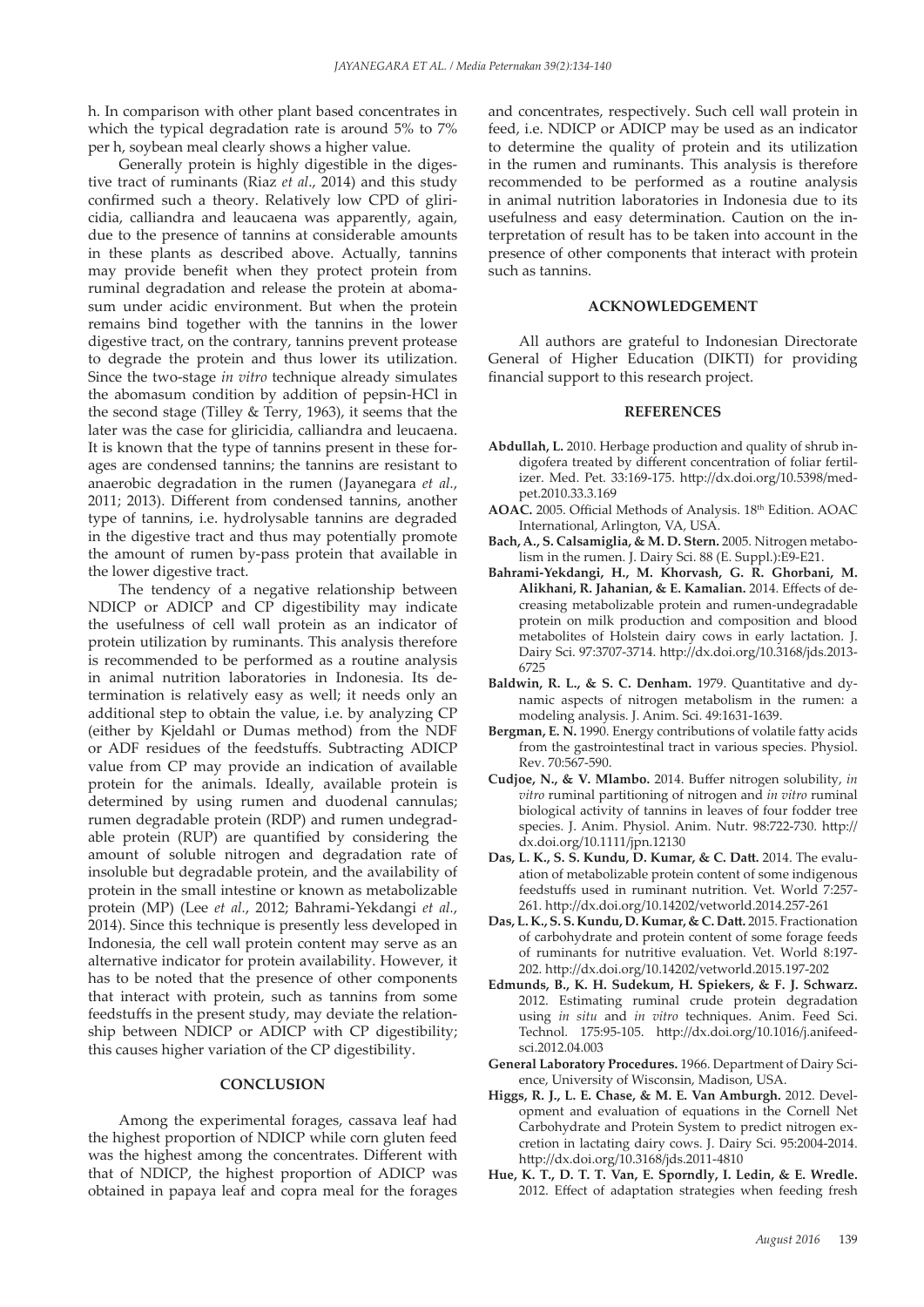h. In comparison with other plant based concentrates in which the typical degradation rate is around 5% to 7% per h, soybean meal clearly shows a higher value.

Generally protein is highly digestible in the digestive tract of ruminants (Riaz *et al*., 2014) and this study confirmed such a theory. Relatively low CPD of gliricidia, calliandra and leaucaena was apparently, again, due to the presence of tannins at considerable amounts in these plants as described above. Actually, tannins may provide benefit when they protect protein from ruminal degradation and release the protein at abomasum under acidic environment. But when the protein remains bind together with the tannins in the lower digestive tract, on the contrary, tannins prevent protease to degrade the protein and thus lower its utilization. Since the two-stage *in vitro* technique already simulates the abomasum condition by addition of pepsin-HCl in the second stage (Tilley & Terry, 1963), it seems that the later was the case for gliricidia, calliandra and leucaena. It is known that the type of tannins present in these forages are condensed tannins; the tannins are resistant to anaerobic degradation in the rumen (Jayanegara *et al.*, 2011; 2013). Different from condensed tannins, another type of tannins, i.e. hydrolysable tannins are degraded in the digestive tract and thus may potentially promote the amount of rumen by-pass protein that available in the lower digestive tract.

The tendency of a negative relationship between NDICP or ADICP and CP digestibility may indicate the usefulness of cell wall protein as an indicator of protein utilization by ruminants. This analysis therefore is recommended to be performed as a routine analysis in animal nutrition laboratories in Indonesia. Its determination is relatively easy as well; it needs only an additional step to obtain the value, i.e. by analyzing CP (either by Kjeldahl or Dumas method) from the NDF or ADF residues of the feedstuffs. Subtracting ADICP value from CP may provide an indication of available protein for the animals. Ideally, available protein is determined by using rumen and duodenal cannulas; rumen degradable protein (RDP) and rumen undegradable protein (RUP) are quantified by considering the amount of soluble nitrogen and degradation rate of insoluble but degradable protein, and the availability of protein in the small intestine or known as metabolizable protein (MP) (Lee *et al.*, 2012; Bahrami-Yekdangi *et al.*, 2014). Since this technique is presently less developed in Indonesia, the cell wall protein content may serve as an alternative indicator for protein availability. However, it has to be noted that the presence of other components that interact with protein, such as tannins from some feedstuffs in the present study, may deviate the relationship between NDICP or ADICP with CP digestibility; this causes higher variation of the CP digestibility.

#### **CONCLUSION**

Among the experimental forages, cassava leaf had the highest proportion of NDICP while corn gluten feed was the highest among the concentrates. Different with that of NDICP, the highest proportion of ADICP was obtained in papaya leaf and copra meal for the forages and concentrates, respectively. Such cell wall protein in feed, i.e. NDICP or ADICP may be used as an indicator to determine the quality of protein and its utilization in the rumen and ruminants. This analysis is therefore recommended to be performed as a routine analysis in animal nutrition laboratories in Indonesia due to its usefulness and easy determination. Caution on the interpretation of result has to be taken into account in the presence of other components that interact with protein such as tannins.

#### **ACKNOWLEDGEMENT**

All authors are grateful to Indonesian Directorate General of Higher Education (DIKTI) for providing financial support to this research project.

#### **REFERENCES**

- **Abdullah, L.** 2010. Herbage production and quality of shrub indigofera treated by different concentration of foliar fertilizer. Med. Pet. 33:169-175. http://dx.doi.org/10.5398/medpet.2010.33.3.169
- AOAC. 2005. Official Methods of Analysis. 18<sup>th</sup> Edition. AOAC International, Arlington, VA, USA.
- **Bach, A., S. Calsamiglia, & M. D. Stern.** 2005. Nitrogen metabolism in the rumen. J. Dairy Sci. 88 (E. Suppl.):E9-E21.
- **Bahrami-Yekdangi, H., M. Khorvash, G. R. Ghorbani, M. Alikhani, R. Jahanian, & E. Kamalian.** 2014. Effects of decreasing metabolizable protein and rumen-undegradable protein on milk production and composition and blood metabolites of Holstein dairy cows in early lactation. J. Dairy Sci. 97:3707-3714. http://dx.doi.org/10.3168/jds.2013- 6725
- **Baldwin, R. L., & S. C. Denham.** 1979. Quantitative and dynamic aspects of nitrogen metabolism in the rumen: a modeling analysis. J. Anim. Sci. 49:1631-1639.
- **Bergman, E. N.** 1990. Energy contributions of volatile fatty acids from the gastrointestinal tract in various species. Physiol. Rev. 70:567-590.
- **Cudjoe, N., & V. Mlambo.** 2014. Buffer nitrogen solubility, *in vitro* ruminal partitioning of nitrogen and *in vitro* ruminal biological activity of tannins in leaves of four fodder tree species. J. Anim. Physiol. Anim. Nutr. 98:722-730. http:// dx.doi.org/10.1111/jpn.12130
- **Das, L. K., S. S. Kundu, D. Kumar, & C. Datt.** 2014. The evaluation of metabolizable protein content of some indigenous feedstuffs used in ruminant nutrition. Vet. World 7:257- 261. http://dx.doi.org/10.14202/vetworld.2014.257-261
- **Das, L. K., S. S. Kundu, D. Kumar, & C. Datt.** 2015. Fractionation of carbohydrate and protein content of some forage feeds of ruminants for nutritive evaluation. Vet. World 8:197- 202. http://dx.doi.org/10.14202/vetworld.2015.197-202
- **Edmunds, B., K. H. Sudekum, H. Spiekers, & F. J. Schwarz.**  2012. Estimating ruminal crude protein degradation using *in situ* and *in vitro* techniques. Anim. Feed Sci. Technol. 175:95-105. http://dx.doi.org/10.1016/j.anifeedsci.2012.04.003
- **General Laboratory Procedures.** 1966. Department of Dairy Science, University of Wisconsin, Madison, USA.
- **Higgs, R. J., L. E. Chase, & M. E. Van Amburgh.** 2012. Development and evaluation of equations in the Cornell Net Carbohydrate and Protein System to predict nitrogen excretion in lactating dairy cows. J. Dairy Sci. 95:2004-2014. http://dx.doi.org/10.3168/jds.2011-4810
- **Hue, K. T., D. T. T. Van, E. Sporndly, I. Ledin, & E. Wredle.**  2012. Effect of adaptation strategies when feeding fresh